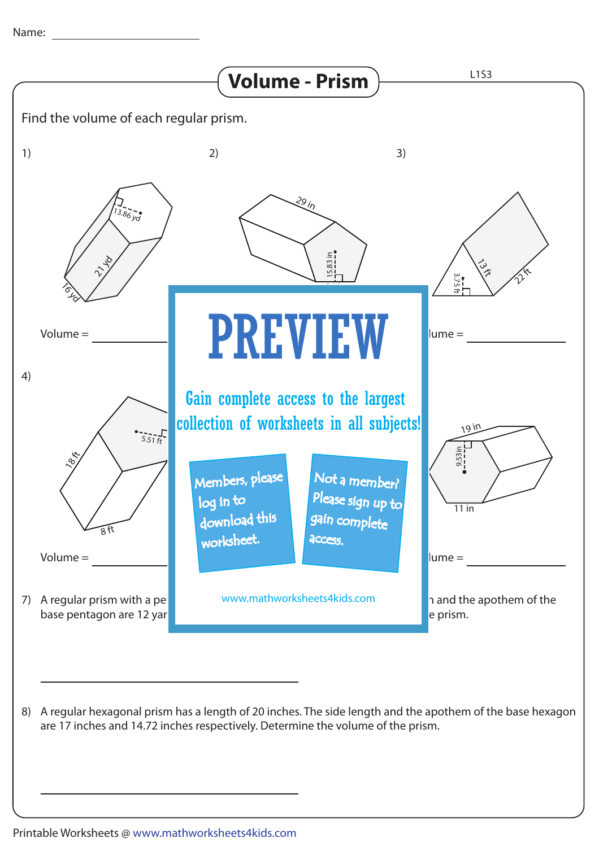